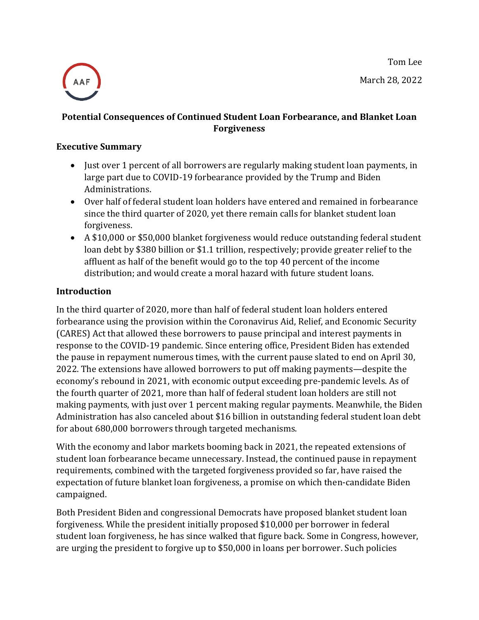Tom Lee March 28, 2022



# **Potential Consequences of Continued Student Loan Forbearance, and Blanket Loan Forgiveness**

#### **Executive Summary**

- Just over 1 percent of all borrowers are regularly making student loan payments, in large part due to COVID-19 forbearance provided by the Trump and Biden Administrations.
- Over half of federal student loan holders have entered and remained in forbearance since the third quarter of 2020, yet there remain calls for blanket student loan forgiveness.
- A \$10,000 or \$50,000 blanket forgiveness would reduce outstanding federal student loan debt by \$380 billion or \$1.1 trillion, respectively; provide greater relief to the affluent as half of the benefit would go to the top 40 percent of the income distribution; and would create a moral hazard with future student loans.

### **Introduction**

In the third quarter of 2020, more than half of federal student loan holders entered forbearance using the provision within the Coronavirus Aid, Relief, and Economic Security (CARES) Act that allowed these borrowers to pause principal and interest payments in response to the COVID-19 pandemic. Since entering office, President Biden has extended the pause in repayment numerous times, with the current pause slated to end on April 30, 2022. The extensions have allowed borrowers to put off making payments—despite the economy's rebound in 2021, with economic output exceeding pre-pandemic levels. As of the fourth quarter of 2021, more than half of federal student loan holders are still not making payments, with just over 1 percent making regular payments. Meanwhile, the Biden Administration has also canceled about \$16 billion in outstanding federal student loan debt for about 680,000 borrowers through targeted mechanisms.

With the economy and labor markets booming back in 2021, the repeated extensions of student loan forbearance became unnecessary. Instead, the continued pause in repayment requirements, combined with the targeted forgiveness provided so far, have raised the expectation of future blanket loan forgiveness, a promise on which then-candidate Biden campaigned.

Both President Biden and congressional Democrats have proposed blanket student loan forgiveness. While the president initially proposed \$10,000 per borrower in federal student loan forgiveness, he has since walked that figure back. Some in Congress, however, are urging the president to forgive up to \$50,000 in loans per borrower. Such policies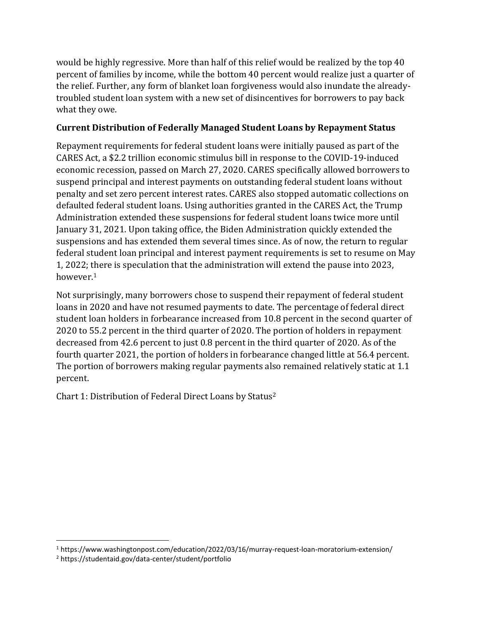would be highly regressive. More than half of this relief would be realized by the top 40 percent of families by income, while the bottom 40 percent would realize just a quarter of the relief. Further, any form of blanket loan forgiveness would also inundate the alreadytroubled student loan system with a new set of disincentives for borrowers to pay back what they owe.

### **Current Distribution of Federally Managed Student Loans by Repayment Status**

Repayment requirements for federal student loans were initially paused as part of the CARES Act, a \$2.2 trillion economic stimulus bill in response to the COVID-19-induced economic recession, passed on March 27, 2020. CARES specifically allowed borrowers to suspend principal and interest payments on outstanding federal student loans without penalty and set zero percent interest rates. CARES also stopped automatic collections on defaulted federal student loans. Using authorities granted in the CARES Act, the Trump Administration extended these suspensions for federal student loans twice more until January 31, 2021. Upon taking office, the Biden Administration quickly extended the suspensions and has extended them several times since. As of now, the return to regular federal student loan principal and interest payment requirements is set to resume on May 1, 2022; there is speculation that the administration will extend the pause into 2023, however.<sup>1</sup>

Not surprisingly, many borrowers chose to suspend their repayment of federal student loans in 2020 and have not resumed payments to date. The percentage of federal direct student loan holders in forbearance increased from 10.8 percent in the second quarter of 2020 to 55.2 percent in the third quarter of 2020. The portion of holders in repayment decreased from 42.6 percent to just 0.8 percent in the third quarter of 2020. As of the fourth quarter 2021, the portion of holders in forbearance changed little at 56.4 percent. The portion of borrowers making regular payments also remained relatively static at 1.1 percent.

Chart 1: Distribution of Federal Direct Loans by Status<sup>2</sup>

<sup>1</sup> https://www.washingtonpost.com/education/2022/03/16/murray-request-loan-moratorium-extension/

<sup>2</sup> https://studentaid.gov/data-center/student/portfolio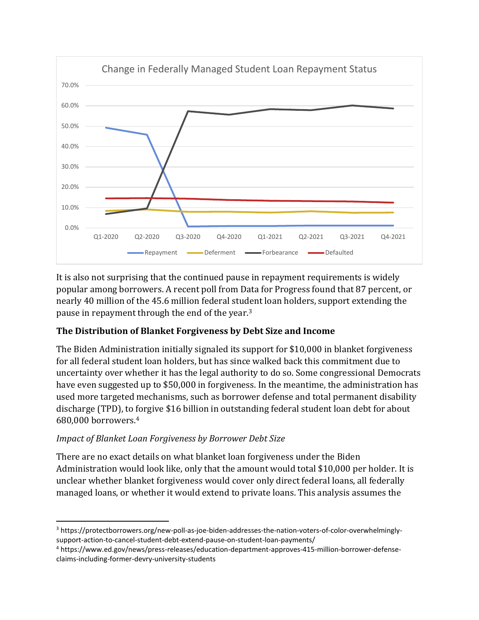

It is also not surprising that the continued pause in repayment requirements is widely popular among borrowers. A recent poll from Data for Progress found that 87 percent, or nearly 40 million of the 45.6 million federal student loan holders, support extending the pause in repayment through the end of the year.<sup>3</sup>

# **The Distribution of Blanket Forgiveness by Debt Size and Income**

The Biden Administration initially signaled its support for \$10,000 in blanket forgiveness for all federal student loan holders, but has since walked back this commitment due to uncertainty over whether it has the legal authority to do so. Some congressional Democrats have even suggested up to \$50,000 in forgiveness. In the meantime, the administration has used more targeted mechanisms, such as borrower defense and total permanent disability discharge (TPD), to forgive \$16 billion in outstanding federal student loan debt for about 680,000 borrowers.<sup>4</sup>

# *Impact of Blanket Loan Forgiveness by Borrower Debt Size*

There are no exact details on what blanket loan forgiveness under the Biden Administration would look like, only that the amount would total \$10,000 per holder. It is unclear whether blanket forgiveness would cover only direct federal loans, all federally managed loans, or whether it would extend to private loans. This analysis assumes the

<sup>3</sup> https://protectborrowers.org/new-poll-as-joe-biden-addresses-the-nation-voters-of-color-overwhelminglysupport-action-to-cancel-student-debt-extend-pause-on-student-loan-payments/

<sup>4</sup> https://www.ed.gov/news/press-releases/education-department-approves-415-million-borrower-defenseclaims-including-former-devry-university-students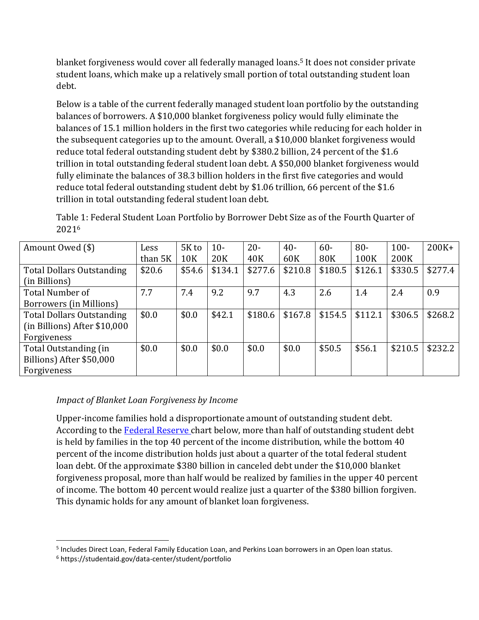blanket forgiveness would cover all federally managed loans.<sup>5</sup> It does not consider private student loans, which make up a relatively small portion of total outstanding student loan debt.

Below is a table of the current federally managed student loan portfolio by the outstanding balances of borrowers. A \$10,000 blanket forgiveness policy would fully eliminate the balances of 15.1 million holders in the first two categories while reducing for each holder in the subsequent categories up to the amount. Overall, a \$10,000 blanket forgiveness would reduce total federal outstanding student debt by \$380.2 billion, 24 percent of the \$1.6 trillion in total outstanding federal student loan debt. A \$50,000 blanket forgiveness would fully eliminate the balances of 38.3 billion holders in the first five categories and would reduce total federal outstanding student debt by \$1.06 trillion, 66 percent of the \$1.6 trillion in total outstanding federal student loan debt.

Table 1: Federal Student Loan Portfolio by Borrower Debt Size as of the Fourth Quarter of 2021<sup>6</sup>

| Amount Owed (\$)                 | Less    | 5K to      | $10-$           | $20 -$  | $40 -$  | $60 -$     | $80 -$  | $100 -$ | $200K +$ |
|----------------------------------|---------|------------|-----------------|---------|---------|------------|---------|---------|----------|
|                                  | than 5K | <b>10K</b> | 20 <sub>K</sub> | 40K     | 60K     | <b>80K</b> | 100K    | 200K    |          |
| <b>Total Dollars Outstanding</b> | \$20.6  | \$54.6     | \$134.1         | \$277.6 | \$210.8 | \$180.5    | \$126.1 | \$330.5 | \$277.4  |
| (in Billions)                    |         |            |                 |         |         |            |         |         |          |
| Total Number of                  | 7.7     | 7.4        | 9.2             | 9.7     | 4.3     | 2.6        | 1.4     | 2.4     | 0.9      |
| Borrowers (in Millions)          |         |            |                 |         |         |            |         |         |          |
| <b>Total Dollars Outstanding</b> | \$0.0   | \$0.0      | \$42.1          | \$180.6 | \$167.8 | \$154.5    | \$112.1 | \$306.5 | \$268.2  |
| (in Billions) After \$10,000     |         |            |                 |         |         |            |         |         |          |
| Forgiveness                      |         |            |                 |         |         |            |         |         |          |
| Total Outstanding (in            | \$0.0   | \$0.0      | \$0.0           | \$0.0   | \$0.0   | \$50.5     | \$56.1  | \$210.5 | \$232.2  |
| Billions) After \$50,000         |         |            |                 |         |         |            |         |         |          |
| Forgiveness                      |         |            |                 |         |         |            |         |         |          |

### *Impact of Blanket Loan Forgiveness by Income*

Upper-income families hold a disproportionate amount of outstanding student debt. According to the [Federal Reserve c](https://www.federalreserve.gov/publications/files/scf20.pdf)hart below, more than half of outstanding student debt is held by families in the top 40 percent of the income distribution, while the bottom 40 percent of the income distribution holds just about a quarter of the total federal student loan debt. Of the approximate \$380 billion in canceled debt under the \$10,000 blanket forgiveness proposal, more than half would be realized by families in the upper 40 percent of income. The bottom 40 percent would realize just a quarter of the \$380 billion forgiven. This dynamic holds for any amount of blanket loan forgiveness.

<sup>&</sup>lt;sup>5</sup> Includes Direct Loan, Federal Family Education Loan, and Perkins Loan borrowers in an Open loan status.

<sup>6</sup> https://studentaid.gov/data-center/student/portfolio